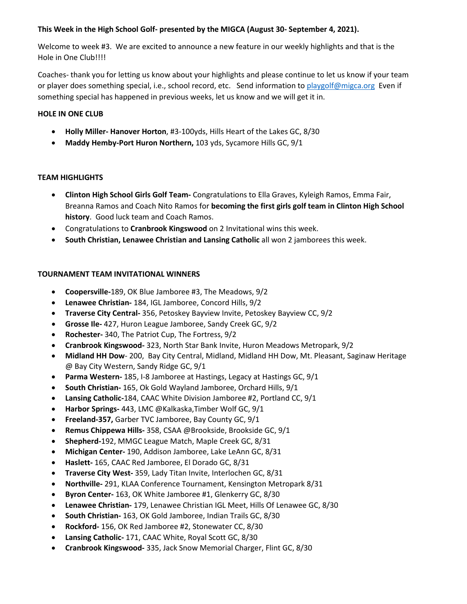## **This Week in the High School Golf- presented by the MIGCA (August 30- September 4, 2021).**

Welcome to week #3. We are excited to announce a new feature in our weekly highlights and that is the Hole in One Club!!!!

Coaches- thank you for letting us know about your highlights and please continue to let us know if your team or player does something special, i.e., school record, etc. Send information to [playgolf@migca.org](mailto:playgolf@migca.org) Even if something special has happened in previous weeks, let us know and we will get it in.

## **HOLE IN ONE CLUB**

- **Holly Miller- Hanover Horton**, #3-100yds, Hills Heart of the Lakes GC, 8/30
- **Maddy Hemby-Port Huron Northern,** 103 yds, Sycamore Hills GC, 9/1

# **TEAM HIGHLIGHTS**

- **Clinton High School Girls Golf Team-** Congratulations to Ella Graves, Kyleigh Ramos, Emma Fair, Breanna Ramos and Coach Nito Ramos for **becoming the first girls golf team in Clinton High School history**. Good luck team and Coach Ramos.
- Congratulations to **Cranbrook Kingswood** on 2 Invitational wins this week.
- **South Christian, Lenawee Christian and Lansing Catholic** all won 2 jamborees this week.

# **TOURNAMENT TEAM INVITATIONAL WINNERS**

- **Coopersville-**189, OK Blue Jamboree #3, The Meadows, 9/2
- **Lenawee Christian-** 184, IGL Jamboree, Concord Hills, 9/2
- **Traverse City Central-** 356, Petoskey Bayview Invite, Petoskey Bayview CC, 9/2
- **Grosse Ile-** 427, Huron League Jamboree, Sandy Creek GC, 9/2
- **Rochester-** 340, The Patriot Cup, The Fortress, 9/2
- **Cranbrook Kingswood-** 323, North Star Bank Invite, Huron Meadows Metropark, 9/2
- **Midland HH Dow** 200, Bay City Central, Midland, Midland HH Dow, Mt. Pleasant, Saginaw Heritage @ Bay City Western, Sandy Ridge GC, 9/1
- **Parma Western-** 185, I-8 Jamboree at Hastings, Legacy at Hastings GC, 9/1
- **South Christian-** 165, Ok Gold Wayland Jamboree, Orchard Hills, 9/1
- **Lansing Catholic-**184, CAAC White Division Jamboree #2, Portland CC, 9/1
- **Harbor Springs-** 443, LMC @Kalkaska,Timber Wolf GC, 9/1
- **Freeland-357,** Garber TVC Jamboree, Bay County GC, 9/1
- **Remus Chippewa Hills-** 358, CSAA @Brookside, Brookside GC, 9/1
- **Shepherd-**192, MMGC League Match, Maple Creek GC, 8/31
- **Michigan Center-** 190, Addison Jamboree, Lake LeAnn GC, 8/31
- **Haslett-** 165, CAAC Red Jamboree, El Dorado GC, 8/31
- **Traverse City West-** 359, Lady Titan Invite, Interlochen GC, 8/31
- **Northville-** 291, KLAA Conference Tournament, Kensington Metropark 8/31
- **Byron Center-** 163, OK White Jamboree #1, Glenkerry GC, 8/30
- **Lenawee Christian-** 179, Lenawee Christian IGL Meet, Hills Of Lenawee GC, 8/30
- **South Christian-** 163, OK Gold Jamboree, Indian Trails GC, 8/30
- **Rockford-** 156, OK Red Jamboree #2, Stonewater CC, 8/30
- **Lansing Catholic-** 171, CAAC White, Royal Scott GC, 8/30
- **Cranbrook Kingswood-** 335, Jack Snow Memorial Charger, Flint GC, 8/30